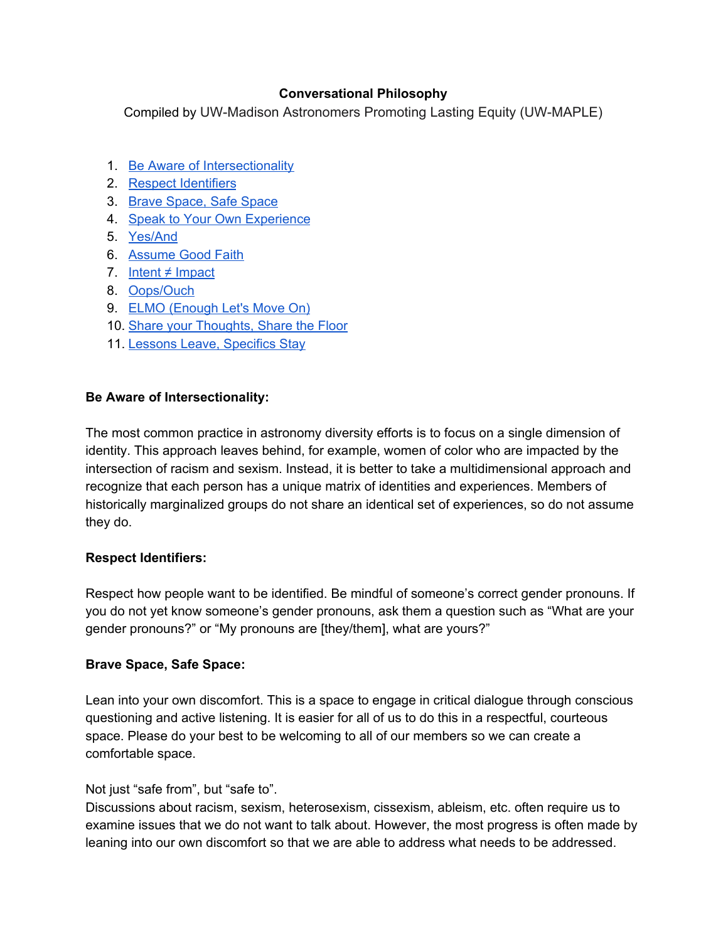# **Conversational Philosophy**

Compiled by UW-Madison Astronomers Promoting Lasting Equity (UW-MAPLE)

- 1. Be Aware of [Intersectionality](#page-0-0)
- 2. Respect [Identifiers](#page-0-1)
- 3. Brave [Space,](#page-0-2) Safe Space
- 4. Speak to Your Own [Experience](#page-1-0)
- 5. [Yes/And](#page-1-1)
- 6. [Assume](#page-1-2) Good Faith
- 7. Intent  $\neq$  [Impact](#page-1-3)
- 8. [Oops/Ouch](#page-1-4)
- 9. ELMO [\(Enough](#page-1-5) Let's Move On)
- 10. Share your [Thoughts,](#page-2-0) Share the Floor
- 11. Lessons Leave, [Specifics](#page-2-1) Stay

# <span id="page-0-0"></span>**Be Aware of Intersectionality:**

The most common practice in astronomy diversity efforts is to focus on a single dimension of identity. This approach leaves behind, for example, women of color who are impacted by the intersection of racism and sexism. Instead, it is better to take a multidimensional approach and recognize that each person has a unique matrix of identities and experiences. Members of historically marginalized groups do not share an identical set of experiences, so do not assume they do.

# <span id="page-0-1"></span>**Respect Identifiers:**

Respect how people want to be identified. Be mindful of someone's correct gender pronouns. If you do not yet know someone's gender pronouns, ask them a question such as "What are your gender pronouns?" or "My pronouns are [they/them], what are yours?"

# <span id="page-0-2"></span>**Brave Space, Safe Space:**

Lean into your own discomfort. This is a space to engage in critical dialogue through conscious questioning and active listening. It is easier for all of us to do this in a respectful, courteous space. Please do your best to be welcoming to all of our members so we can create a comfortable space.

# Not just "safe from", but "safe to".

Discussions about racism, sexism, heterosexism, cissexism, ableism, etc. often require us to examine issues that we do not want to talk about. However, the most progress is often made by leaning into our own discomfort so that we are able to address what needs to be addressed.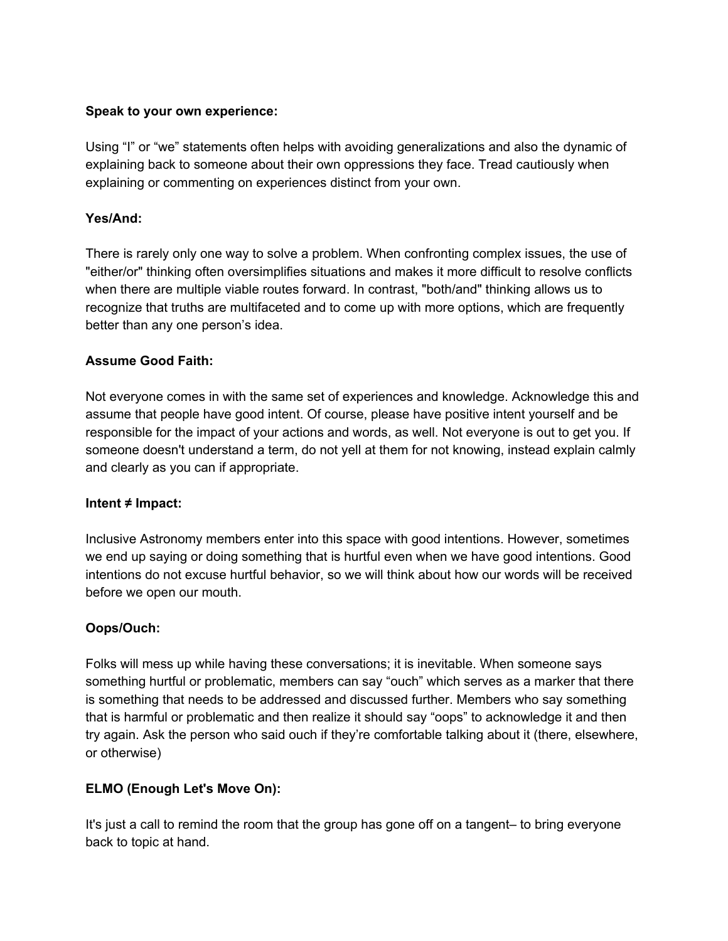### <span id="page-1-0"></span>**Speak to your own experience:**

Using "I" or "we" statements often helps with avoiding generalizations and also the dynamic of explaining back to someone about their own oppressions they face. Tread cautiously when explaining or commenting on experiences distinct from your own.

### <span id="page-1-1"></span>**Yes/And:**

There is rarely only one way to solve a problem. When confronting complex issues, the use of "either/or" thinking often oversimplifies situations and makes it more difficult to resolve conflicts when there are multiple viable routes forward. In contrast, "both/and" thinking allows us to recognize that truths are multifaceted and to come up with more options, which are frequently better than any one person's idea.

### <span id="page-1-2"></span>**Assume Good Faith:**

Not everyone comes in with the same set of experiences and knowledge. Acknowledge this and assume that people have good intent. Of course, please have positive intent yourself and be responsible for the impact of your actions and words, as well. Not everyone is out to get you. If someone doesn't understand a term, do not yell at them for not knowing, instead explain calmly and clearly as you can if appropriate.

#### <span id="page-1-3"></span>**Intent ≠ Impact:**

Inclusive Astronomy members enter into this space with good intentions. However, sometimes we end up saying or doing something that is hurtful even when we have good intentions. Good intentions do not excuse hurtful behavior, so we will think about how our words will be received before we open our mouth.

# <span id="page-1-4"></span>**Oops/Ouch:**

Folks will mess up while having these conversations; it is inevitable. When someone says something hurtful or problematic, members can say "ouch" which serves as a marker that there is something that needs to be addressed and discussed further. Members who say something that is harmful or problematic and then realize it should say "oops" to acknowledge it and then try again. Ask the person who said ouch if they're comfortable talking about it (there, elsewhere, or otherwise)

# <span id="page-1-5"></span>**ELMO (Enough Let's Move On):**

It's just a call to remind the room that the group has gone off on a tangent– to bring everyone back to topic at hand.